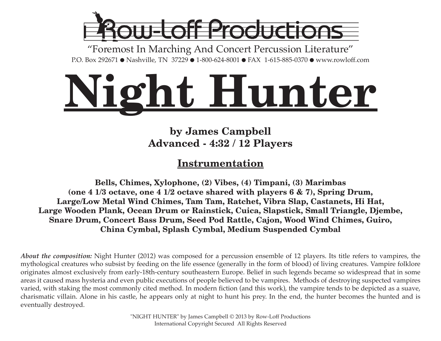

"Foremost In Marching And Concert Percussion Literature" P.O. Box 292671 ● Nashville, TN 37229 ● 1-800-624-8001 ● FAX 1-615-885-0370 ● www.rowloff.com

# **Night Hunter**

# **by James Campbell Advanced - 4:32 / 12 Players**

# **Instrumentation**

**Bells, Chimes, Xylophone, (2) Vibes, (4) Timpani, (3) Marimbas (one 4 1/3 octave, one 4 1/2 octave shared with players 6 & 7), Spring Drum, Large/Low Metal Wind Chimes, Tam Tam, Ratchet, Vibra Slap, Castanets, Hi Hat, Large Wooden Plank, Ocean Drum or Rainstick, Cuica, Slapstick, Small Triangle, Djembe, Snare Drum, Concert Bass Drum, Seed Pod Rattle, Cajon, Wood Wind Chimes, Guiro, China Cymbal, Splash Cymbal, Medium Suspended Cymbal**

*About the composition:* Night Hunter (2012) was composed for a percussion ensemble of 12 players. Its title refers to vampires, the mythological creatures who subsist by feeding on the life essence (generally in the form of blood) of living creatures. Vampire folklore originates almost exclusively from early-18th-century southeastern Europe. Belief in such legends became so widespread that in some areas it caused mass hysteria and even public executions of people believed to be vampires. Methods of destroying suspected vampires varied, with staking the most commonly cited method. In modern fiction (and this work), the vampire tends to be depicted as a suave, charismatic villain. Alone in his castle, he appears only at night to hunt his prey. In the end, the hunter becomes the hunted and is eventually destroyed.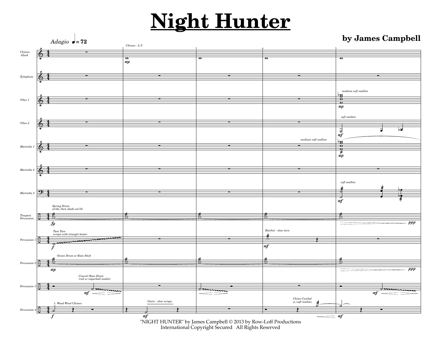

International Copyright Secured All Rights Reserved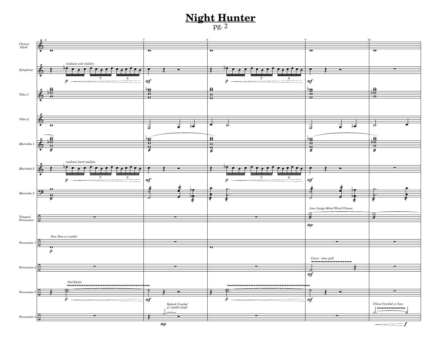![](_page_2_Figure_1.jpeg)

![](_page_2_Figure_2.jpeg)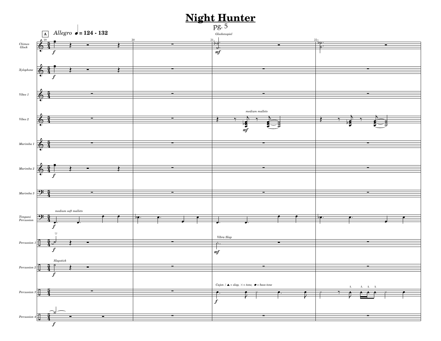![](_page_3_Figure_1.jpeg)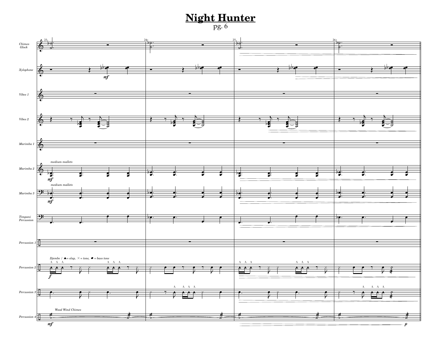pg. 6

![](_page_4_Figure_2.jpeg)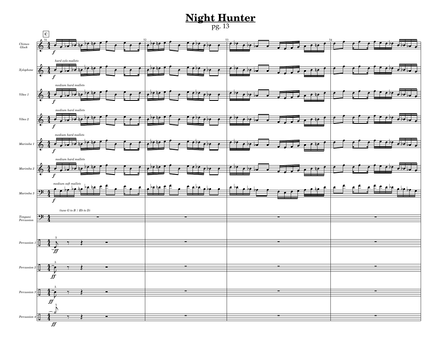pg. 13

![](_page_5_Figure_2.jpeg)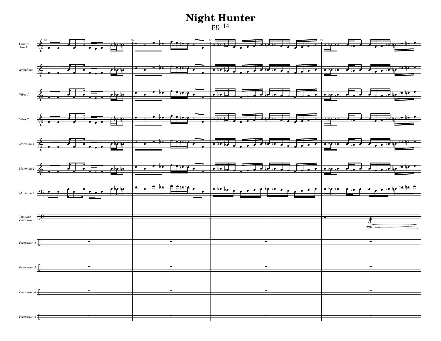#### **Night Hunter** pg. 14

![](_page_6_Figure_1.jpeg)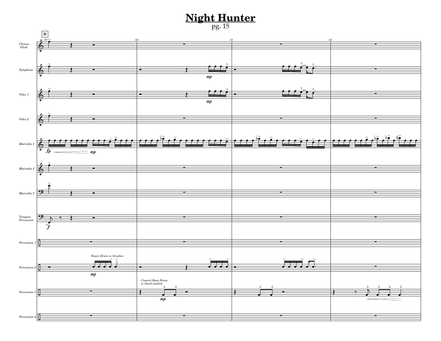![](_page_7_Figure_1.jpeg)

![](_page_7_Figure_2.jpeg)